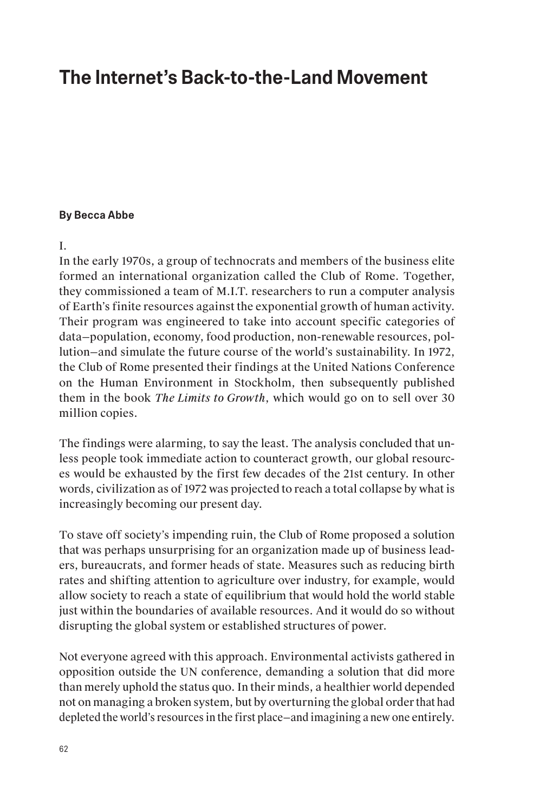# **The Internet's Back-to-the-Land Movement**

#### **By Becca Abbe**

#### I.

In the early 1970s, a group of technocrats and members of the business elite formed an international organization called the Club of Rome. Together, they commissioned a team of M.I.T. researchers to run a computer analysis of Earth's finite resources against the exponential growth of human activity. Their program was engineered to take into account specific categories of data—population, economy, food production, non-renewable resources, pollution—and simulate the future course of the world's sustainability. In 1972, the Club of Rome presented their findings at the United Nations Conference on the Human Environment in Stockholm, then subsequently published them in the book *The Limits to Growth*, which would go on to sell over 30 million copies.

The findings were alarming, to say the least. The analysis concluded that unless people took immediate action to counteract growth, our global resources would be exhausted by the first few decades of the 21st century. In other words, civilization as of 1972 was projected to reach a total collapse by what is increasingly becoming our present day.

To stave off society's impending ruin, the Club of Rome proposed a solution that was perhaps unsurprising for an organization made up of business leaders, bureaucrats, and former heads of state. Measures such as reducing birth rates and shifting attention to agriculture over industry, for example, would allow society to reach a state of equilibrium that would hold the world stable just within the boundaries of available resources. And it would do so without disrupting the global system or established structures of power.

Not everyone agreed with this approach. Environmental activists gathered in opposition outside the UN conference, demanding a solution that did more than merely uphold the status quo. In their minds, a healthier world depended not on managing a broken system, but by overturning the global order that had depleted the world's resources in the first place—and imagining a new one entirely.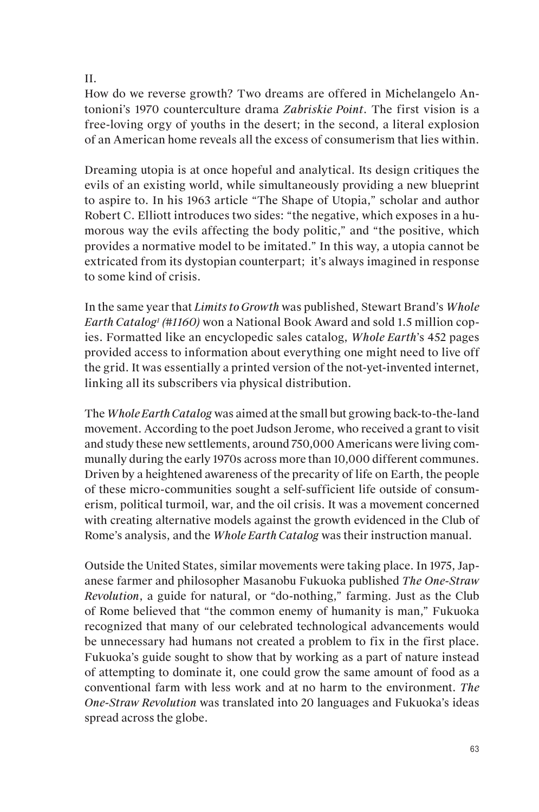#### II.

How do we reverse growth? Two dreams are offered in Michelangelo Antonioni's 1970 counterculture drama *Zabriskie Point*. The first vision is a free-loving orgy of youths in the desert; in the second, a literal explosion of an American home reveals all the excess of consumerism that lies within.

Dreaming utopia is at once hopeful and analytical. Its design critiques the evils of an existing world, while simultaneously providing a new blueprint to aspire to. In his 1963 article "The Shape of Utopia," scholar and author Robert C. Elliott introduces two sides: "the negative, which exposes in a humorous way the evils affecting the body politic," and "the positive, which provides a normative model to be imitated." In this way, a utopia cannot be extricated from its dystopian counterpart; it's always imagined in response to some kind of crisis.

In the same year that *Limits to Growth* was published, Stewart Brand's *Whole Earth Catalog1 (#1160)* won a National Book Award and sold 1.5 million copies. Formatted like an encyclopedic sales catalog, *Whole Earth*'s 452 pages provided access to information about everything one might need to live off the grid. It was essentially a printed version of the not-yet-invented internet, linking all its subscribers via physical distribution.

The *Whole Earth Catalog* was aimed at the small but growing back-to-the-land movement. According to the poet Judson Jerome, who received a grant to visit and study these new settlements, around 750,000 Americans were living communally during the early 1970s across more than 10,000 different communes. Driven by a heightened awareness of the precarity of life on Earth, the people of these micro-communities sought a self-sufficient life outside of consumerism, political turmoil, war, and the oil crisis. It was a movement concerned with creating alternative models against the growth evidenced in the Club of Rome's analysis, and the *Whole Earth Catalog* was their instruction manual.

Outside the United States, similar movements were taking place. In 1975, Japanese farmer and philosopher Masanobu Fukuoka published *The One-Straw Revolution*, a guide for natural, or "do-nothing," farming. Just as the Club of Rome believed that "the common enemy of humanity is man," Fukuoka recognized that many of our celebrated technological advancements would be unnecessary had humans not created a problem to fix in the first place. Fukuoka's guide sought to show that by working as a part of nature instead of attempting to dominate it, one could grow the same amount of food as a conventional farm with less work and at no harm to the environment. *The One-Straw Revolution* was translated into 20 languages and Fukuoka's ideas spread across the globe.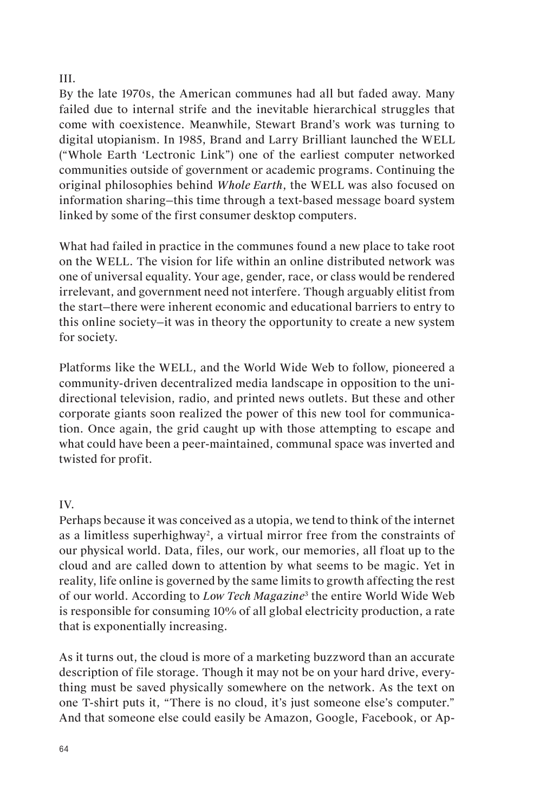### III.

By the late 1970s, the American communes had all but faded away. Many failed due to internal strife and the inevitable hierarchical struggles that come with coexistence. Meanwhile, Stewart Brand's work was turning to digital utopianism. In 1985, Brand and Larry Brilliant launched the WELL ("Whole Earth 'Lectronic Link") one of the earliest computer networked communities outside of government or academic programs. Continuing the original philosophies behind *Whole Earth*, the WELL was also focused on information sharing—this time through a text-based message board system linked by some of the first consumer desktop computers.

What had failed in practice in the communes found a new place to take root on the WELL. The vision for life within an online distributed network was one of universal equality. Your age, gender, race, or class would be rendered irrelevant, and government need not interfere. Though arguably elitist from the start—there were inherent economic and educational barriers to entry to this online society—it was in theory the opportunity to create a new system for society.

Platforms like the WELL, and the World Wide Web to follow, pioneered a community-driven decentralized media landscape in opposition to the unidirectional television, radio, and printed news outlets. But these and other corporate giants soon realized the power of this new tool for communication. Once again, the grid caught up with those attempting to escape and what could have been a peer-maintained, communal space was inverted and twisted for profit.

## IV.

Perhaps because it was conceived as a utopia, we tend to think of the internet as a limitless superhighway<sup>2</sup>, a virtual mirror free from the constraints of our physical world. Data, files, our work, our memories, all float up to the cloud and are called down to attention by what seems to be magic. Yet in reality, life online is governed by the same limits to growth affecting the rest of our world. According to *Low Tech Magazine*<sup>3</sup> the entire World Wide Web is responsible for consuming 10% of all global electricity production, a rate that is exponentially increasing.

As it turns out, the cloud is more of a marketing buzzword than an accurate description of file storage. Though it may not be on your hard drive, everything must be saved physically somewhere on the network. As the text on one T-shirt puts it, "There is no cloud, it's just someone else's computer." And that someone else could easily be Amazon, Google, Facebook, or Ap-